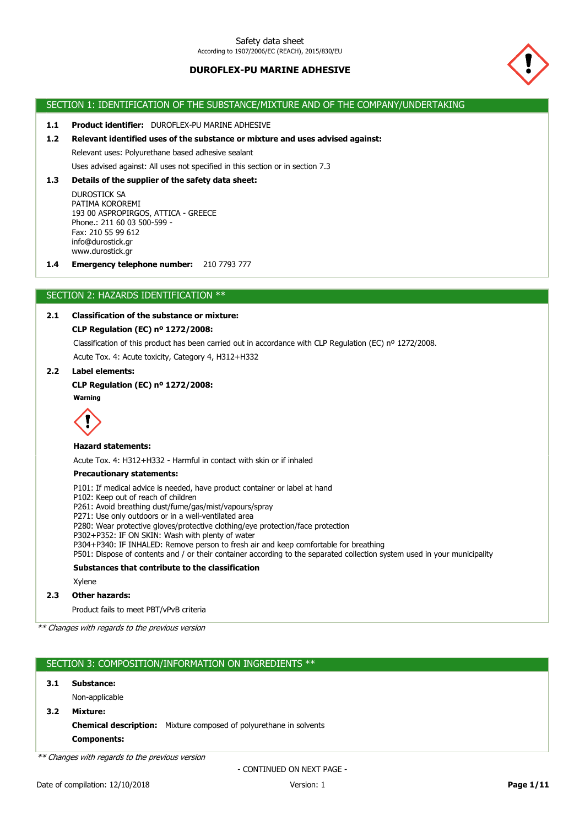

# SECTION 1: IDENTIFICATION OF THE SUBSTANCE/MIXTURE AND OF THE COMPANY/UNDERTAKING

**1.1 Product identifier:** DUROFLEX-PU MARINE ADHESIVE

#### **1.2 Relevant identified uses of the substance or mixture and uses advised against:**

Relevant uses: Polyurethane based adhesive sealant

Uses advised against: All uses not specified in this section or in section 7.3

## **1.3 Details of the supplier of the safety data sheet:**

DUROSTICK SA PATIMA KOROREMI 193 00 ASPROPIRGOS, ATTICA - GREECE Phone.: 211 60 03 500-599 - Fax: 210 55 99 612 info@durostick.gr www.durostick.gr

**1.4 Emergency telephone number:** 210 7793 777

# SECTION 2: HAZARDS IDENTIFICATION \*\*

## **2.1 Classification of the substance or mixture:**

### **CLP Regulation (EC) nº 1272/2008:**

Acute Tox. 4: Acute toxicity, Category 4, H312+H332 Classification of this product has been carried out in accordance with CLP Regulation (EC) nº 1272/2008.

#### **2.2 Label elements:**

#### **CLP Regulation (EC) nº 1272/2008:**

**Warning**



## **Hazard statements:**

Acute Tox. 4: H312+H332 - Harmful in contact with skin or if inhaled

#### **Precautionary statements:**

P101: If medical advice is needed, have product container or label at hand

- P102: Keep out of reach of children
- P261: Avoid breathing dust/fume/gas/mist/vapours/spray
- P271: Use only outdoors or in a well-ventilated area
- P280: Wear protective gloves/protective clothing/eye protection/face protection
- P302+P352: IF ON SKIN: Wash with plenty of water
- P304+P340: IF INHALED: Remove person to fresh air and keep comfortable for breathing

P501: Dispose of contents and / or their container according to the separated collection system used in your municipality

## **Substances that contribute to the classification**

Xylene

## **2.3 Other hazards:**

Product fails to meet PBT/vPvB criteria

\*\* Changes with regards to the previous version

## SECTION 3: COMPOSITION/INFORMATION ON INGREDIENTS \*\*

**3.1 Substance:**

Non-applicable

**3.2 Mixture:**

**Components: Chemical description:** Mixture composed of polyurethane in solvents

\*\* Changes with regards to the previous version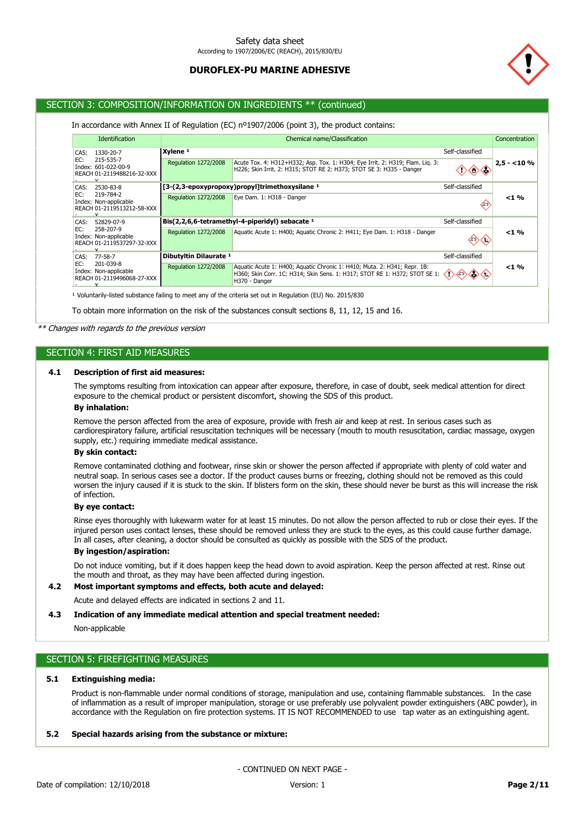

# SECTION 3: COMPOSITION/INFORMATION ON INGREDIENTS \*\* (continued)

### In accordance with Annex II of Regulation (EC) nº1907/2006 (point 3), the product contains:

|                                                                         | <b>Identification</b>                   | Chemical name/Classification                                                                                                                                            |                                                                                                                                                       |                     |               |  |  |
|-------------------------------------------------------------------------|-----------------------------------------|-------------------------------------------------------------------------------------------------------------------------------------------------------------------------|-------------------------------------------------------------------------------------------------------------------------------------------------------|---------------------|---------------|--|--|
| CAS:                                                                    | 1330-20-7                               | Xvlene <sup>1</sup><br>Self-classified                                                                                                                                  |                                                                                                                                                       |                     |               |  |  |
| EC:<br>Index: 601-022-00-9                                              | 215-535-7<br>REACH 01-2119488216-32-XXX | <b>Regulation 1272/2008</b>                                                                                                                                             | Acute Tox. 4: H312+H332; Asp. Tox. 1: H304; Eye Irrit. 2: H319; Flam. Lig. 3:<br>H226; Skin Irrit. 2: H315; STOT RE 2: H373; STOT SE 3: H335 - Danger | $\Diamond \Diamond$ | $ 2,5 - 10\%$ |  |  |
| CAS:                                                                    | 2530-83-8                               |                                                                                                                                                                         | [3-(2,3-epoxypropoxy)propyl]trimethoxysilane 1                                                                                                        | Self-classified     |               |  |  |
| EC:<br>Index: Non-applicable<br>$\checkmark$                            | 219-784-2<br>REACH 01-2119513212-58-XXX | Regulation 1272/2008                                                                                                                                                    | Eye Dam. 1: H318 - Danger                                                                                                                             |                     | $< 1 \%$      |  |  |
| CAS:                                                                    | 52829-07-9                              |                                                                                                                                                                         | Bis(2,2,6,6-tetramethyl-4-piperidyl) sebacate $1$                                                                                                     | Self-classified     |               |  |  |
| EC:<br>Index: Non-applicable<br>v                                       | 258-207-9<br>REACH 01-2119537297-32-XXX | <b>Regulation 1272/2008</b>                                                                                                                                             | Aquatic Acute 1: H400; Aquatic Chronic 2: H411; Eye Dam. 1: H318 - Danger                                                                             |                     | $< 1 \%$      |  |  |
| 77-58-7<br>CAS:                                                         |                                         | Dibutyltin Dilaurate 1                                                                                                                                                  |                                                                                                                                                       | Self-classified     |               |  |  |
| EC:<br>201-039-8<br>Index: Non-applicable<br>REACH 01-2119496068-27-XXX | <b>Regulation 1272/2008</b>             | Aquatic Acute 1: H400; Aquatic Chronic 1: H410; Muta. 2: H341; Repr. 1B:<br>H360; Skin Corr. 1C: H314; Skin Sens. 1: H317; STOT RE 1: H372; STOT SE 1:<br>H370 - Danger |                                                                                                                                                       | $< 1 \%$            |               |  |  |

<sup>1</sup> Voluntarily-listed substance failing to meet any of the criteria set out in Regulation (EU) No. 2015/830

To obtain more information on the risk of the substances consult sections 8, 11, 12, 15 and 16.

### \*\* Changes with regards to the previous version

### SECTION 4: FIRST AID MEASURES

### **4.1 Description of first aid measures:**

The symptoms resulting from intoxication can appear after exposure, therefore, in case of doubt, seek medical attention for direct exposure to the chemical product or persistent discomfort, showing the SDS of this product.

#### **By inhalation:**

Remove the person affected from the area of exposure, provide with fresh air and keep at rest. In serious cases such as cardiorespiratory failure, artificial resuscitation techniques will be necessary (mouth to mouth resuscitation, cardiac massage, oxygen supply, etc.) requiring immediate medical assistance.

### **By skin contact:**

Remove contaminated clothing and footwear, rinse skin or shower the person affected if appropriate with plenty of cold water and neutral soap. In serious cases see a doctor. If the product causes burns or freezing, clothing should not be removed as this could worsen the injury caused if it is stuck to the skin. If blisters form on the skin, these should never be burst as this will increase the risk of infection.

#### **By eye contact:**

Rinse eyes thoroughly with lukewarm water for at least 15 minutes. Do not allow the person affected to rub or close their eyes. If the injured person uses contact lenses, these should be removed unless they are stuck to the eyes, as this could cause further damage. In all cases, after cleaning, a doctor should be consulted as quickly as possible with the SDS of the product.

### **By ingestion/aspiration:**

Do not induce vomiting, but if it does happen keep the head down to avoid aspiration. Keep the person affected at rest. Rinse out the mouth and throat, as they may have been affected during ingestion.

# **4.2 Most important symptoms and effects, both acute and delayed:**

Acute and delayed effects are indicated in sections 2 and 11.

#### **4.3 Indication of any immediate medical attention and special treatment needed:**

Non-applicable

# SECTION 5: FIREFIGHTING MEASURES

#### **5.1 Extinguishing media:**

Product is non-flammable under normal conditions of storage, manipulation and use, containing flammable substances. In the case of inflammation as a result of improper manipulation, storage or use preferably use polyvalent powder extinguishers (ABC powder), in accordance with the Regulation on fire protection systems. IT IS NOT RECOMMENDED to use tap water as an extinguishing agent.

#### **5.2 Special hazards arising from the substance or mixture:**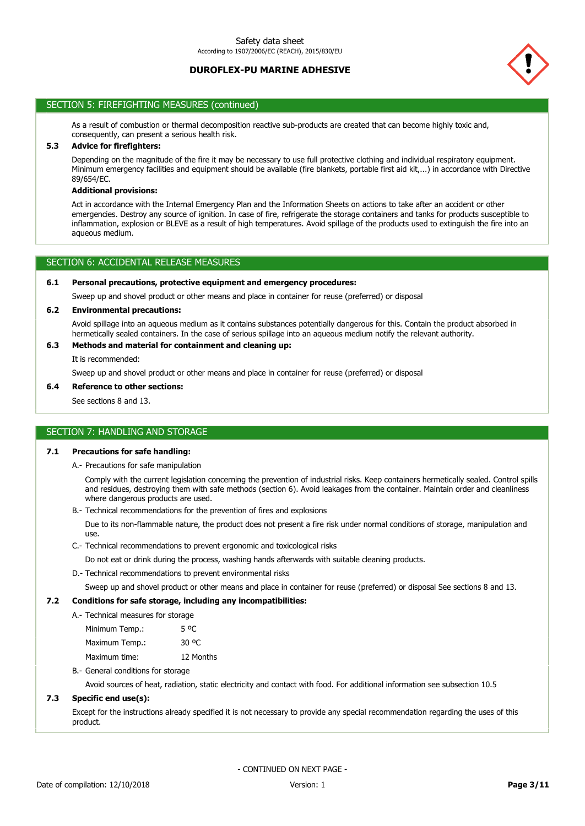

# SECTION 5: FIREFIGHTING MEASURES (continued)

As a result of combustion or thermal decomposition reactive sub-products are created that can become highly toxic and, consequently, can present a serious health risk.

# **5.3 Advice for firefighters:**

Depending on the magnitude of the fire it may be necessary to use full protective clothing and individual respiratory equipment. Minimum emergency facilities and equipment should be available (fire blankets, portable first aid kit,...) in accordance with Directive 89/654/EC.

## **Additional provisions:**

Act in accordance with the Internal Emergency Plan and the Information Sheets on actions to take after an accident or other emergencies. Destroy any source of ignition. In case of fire, refrigerate the storage containers and tanks for products susceptible to inflammation, explosion or BLEVE as a result of high temperatures. Avoid spillage of the products used to extinguish the fire into an aqueous medium.

### SECTION 6: ACCIDENTAL RELEASE MEASURES

#### **6.1 Personal precautions, protective equipment and emergency procedures:**

Sweep up and shovel product or other means and place in container for reuse (preferred) or disposal

### **6.2 Environmental precautions:**

Avoid spillage into an aqueous medium as it contains substances potentially dangerous for this. Contain the product absorbed in hermetically sealed containers. In the case of serious spillage into an aqueous medium notify the relevant authority.

# **6.3 Methods and material for containment and cleaning up:**

It is recommended:

Sweep up and shovel product or other means and place in container for reuse (preferred) or disposal

#### **6.4 Reference to other sections:**

See sections 8 and 13.

#### SECTION 7: HANDLING AND STORAGE

### **7.1 Precautions for safe handling:**

A.- Precautions for safe manipulation

Comply with the current legislation concerning the prevention of industrial risks. Keep containers hermetically sealed. Control spills and residues, destroying them with safe methods (section 6). Avoid leakages from the container. Maintain order and cleanliness where dangerous products are used.

B.- Technical recommendations for the prevention of fires and explosions

Due to its non-flammable nature, the product does not present a fire risk under normal conditions of storage, manipulation and use.

C.- Technical recommendations to prevent ergonomic and toxicological risks

Do not eat or drink during the process, washing hands afterwards with suitable cleaning products.

D.- Technical recommendations to prevent environmental risks

Sweep up and shovel product or other means and place in container for reuse (preferred) or disposal See sections 8 and 13.

### **7.2 Conditions for safe storage, including any incompatibilities:**

### A.- Technical measures for storage

| Minimum Temp.: | 5 OC      |
|----------------|-----------|
| Maximum Temp.: | 30 °C     |
| Maximum time:  | 12 Months |

B.- General conditions for storage

Avoid sources of heat, radiation, static electricity and contact with food. For additional information see subsection 10.5

## **7.3 Specific end use(s):**

Except for the instructions already specified it is not necessary to provide any special recommendation regarding the uses of this product.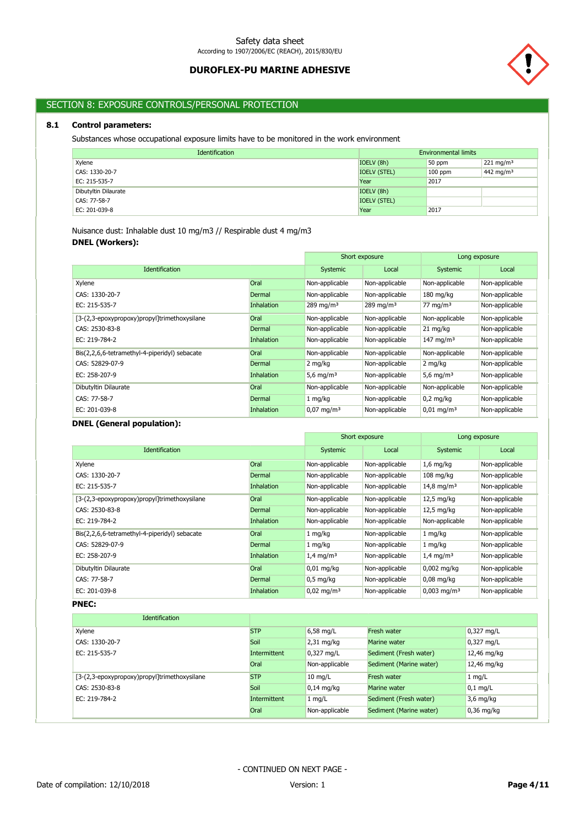

# SECTION 8: EXPOSURE CONTROLS/PERSONAL PROTECTION

# **8.1 Control parameters:**

Substances whose occupational exposure limits have to be monitored in the work environment

| Identification       | <b>Environmental limits</b> |           |                       |
|----------------------|-----------------------------|-----------|-----------------------|
| Xylene               | IOELV (8h)                  | 50 ppm    | $221 \text{ mg/m}^3$  |
| CAS: 1330-20-7       | <b>IOELV (STEL)</b>         | $100$ ppm | 442 mg/m <sup>3</sup> |
| EC: 215-535-7        | Year                        | 2017      |                       |
| Dibutyltin Dilaurate | IOELV (8h)                  |           |                       |
| CAS: 77-58-7         | <b>IOELV (STEL)</b>         |           |                       |
| EC: 201-039-8        | Year                        | 2017      |                       |

**DNEL (Workers):** Nuisance dust: Inhalable dust 10 mg/m3 // Respirable dust 4 mg/m3

|                                               |                   | Short exposure        |                | Long exposure         |                |
|-----------------------------------------------|-------------------|-----------------------|----------------|-----------------------|----------------|
| <b>Identification</b>                         |                   | Systemic              | Local          | Systemic              | Local          |
| Xylene                                        | Oral              | Non-applicable        | Non-applicable | Non-applicable        | Non-applicable |
| CAS: 1330-20-7                                | Dermal            | Non-applicable        | Non-applicable | $180 \text{ mg/kg}$   | Non-applicable |
| EC: 215-535-7                                 | <b>Inhalation</b> | 289 mg/m $3$          | 289 mg/m $3$   | 77 mg/m $3$           | Non-applicable |
| [3-(2,3-epoxypropoxy)propyl]trimethoxysilane  | Oral              | Non-applicable        | Non-applicable | Non-applicable        | Non-applicable |
| CAS: 2530-83-8                                | Dermal            | Non-applicable        | Non-applicable | 21 mg/kg              | Non-applicable |
| EC: 219-784-2                                 | <b>Inhalation</b> | Non-applicable        | Non-applicable | 147 mg/m <sup>3</sup> | Non-applicable |
| Bis(2,2,6,6-tetramethyl-4-piperidyl) sebacate | <b>Oral</b>       | Non-applicable        | Non-applicable | Non-applicable        | Non-applicable |
| CAS: 52829-07-9                               | Dermal            | 2 mg/kg               | Non-applicable | 2 mg/kg               | Non-applicable |
| EC: 258-207-9                                 | <b>Inhalation</b> | 5,6 mg/m <sup>3</sup> | Non-applicable | 5,6 mg/m <sup>3</sup> | Non-applicable |
| Dibutyltin Dilaurate                          | Oral              | Non-applicable        | Non-applicable | Non-applicable        | Non-applicable |
| CAS: 77-58-7                                  | Dermal            | 1 mg/kg               | Non-applicable | $0.2 \text{ mg/kg}$   | Non-applicable |
| EC: 201-039-8                                 | Inhalation        | $0.07 \text{ mg/m}^3$ | Non-applicable | $0.01 \text{ mg/m}^3$ | Non-applicable |

# **DNEL (General population):**

|                                               |                   | Short exposure          |                | Long exposure             |                |
|-----------------------------------------------|-------------------|-------------------------|----------------|---------------------------|----------------|
| <b>Identification</b>                         |                   | Systemic                | Local          | Systemic                  | Local          |
| Xylene                                        | Oral              | Non-applicable          | Non-applicable | $1,6$ mg/kg               | Non-applicable |
| CAS: 1330-20-7                                | Dermal            | Non-applicable          | Non-applicable | $108 \text{ mg/kg}$       | Non-applicable |
| EC: 215-535-7                                 | <b>Inhalation</b> | Non-applicable          | Non-applicable | 14,8 mg/m <sup>3</sup>    | Non-applicable |
| [3-(2,3-epoxypropoxy)propyl]trimethoxysilane  | Oral              | Non-applicable          | Non-applicable | $12.5 \text{ mg/kg}$      | Non-applicable |
| CAS: 2530-83-8                                | Dermal            | Non-applicable          | Non-applicable | $12,5$ mg/kg              | Non-applicable |
| EC: 219-784-2                                 | Inhalation        | Non-applicable          | Non-applicable | Non-applicable            | Non-applicable |
| Bis(2,2,6,6-tetramethyl-4-piperidyl) sebacate | Oral              | $1 \, mg/kg$            | Non-applicable | 1 mg/kg                   | Non-applicable |
| CAS: 52829-07-9                               | Dermal            | 1 mg/kg                 | Non-applicable | 1 mg/kg                   | Non-applicable |
| $EC: 258-207-9$                               | <b>Inhalation</b> | $1.4 \,\mathrm{mq/m^3}$ | Non-applicable | $1.4 \text{ mg/m}^3$      | Non-applicable |
| Dibutyltin Dilaurate                          | Oral              | $0.01$ mg/kg            | Non-applicable | $0,002$ mg/kg             | Non-applicable |
| CAS: 77-58-7                                  | Dermal            | $0,5 \text{ mg/kg}$     | Non-applicable | $0,08$ mg/kg              | Non-applicable |
| EC: 201-039-8                                 | Inhalation        | $0,02 \text{ mg/m}^3$   | Non-applicable | $0,003$ mg/m <sup>3</sup> | Non-applicable |

## **PNEC:**

| <b>Identification</b>                        |              |                      |                         |              |
|----------------------------------------------|--------------|----------------------|-------------------------|--------------|
| Xylene                                       | <b>STP</b>   | $6,58$ mg/L          | Fresh water             | 0,327 mg/L   |
| CAS: 1330-20-7                               | Soil         | $2,31 \text{ mg/kg}$ | Marine water            | 0,327 mg/L   |
| EC: 215-535-7                                | Intermittent | $0,327$ mg/L         | Sediment (Fresh water)  | 12,46 mg/kg  |
|                                              | Oral         | Non-applicable       | Sediment (Marine water) | 12,46 mg/kg  |
| [3-(2,3-epoxypropoxy)propyl]trimethoxysilane | <b>STP</b>   | $10 \text{ mg/L}$    | Fresh water             | $1$ mg/L     |
| CAS: 2530-83-8                               | Soil         | $0.14$ mg/kg         | Marine water            | $0.1$ mg/L   |
| EC: 219-784-2                                | Intermittent | $1$ mg/L             | Sediment (Fresh water)  | $3,6$ mg/kg  |
|                                              | Oral         | Non-applicable       | Sediment (Marine water) | $0,36$ mg/kg |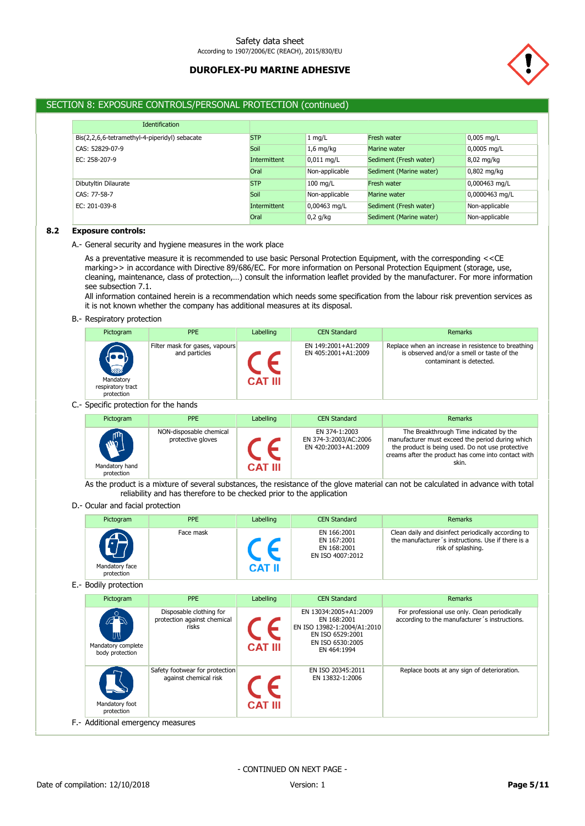

# SECTION 8: EXPOSURE CONTROLS/PERSONAL PROTECTION (continued)

| <b>Identification</b>                         |              |                |                         |                |
|-----------------------------------------------|--------------|----------------|-------------------------|----------------|
| Bis(2,2,6,6-tetramethyl-4-piperidyl) sebacate | <b>STP</b>   | $1$ mg/L       | Fresh water             | $0,005$ mg/L   |
| CAS: 52829-07-9                               | Soil         | $1,6$ mg/kg    | Marine water            | 0,0005 mg/L    |
| EC: 258-207-9                                 | Intermittent | $0,011$ mg/L   | Sediment (Fresh water)  | 8,02 mg/kg     |
|                                               | Oral         | Non-applicable | Sediment (Marine water) | $0,802$ mg/kg  |
| Dibutyltin Dilaurate                          | <b>STP</b>   | $100$ mg/L     | Fresh water             | 0,000463 mg/L  |
| CAS: 77-58-7                                  | Soil         | Non-applicable | Marine water            | 0,0000463 mg/L |
| EC: 201-039-8                                 | Intermittent | 0,00463 mg/L   | Sediment (Fresh water)  | Non-applicable |
|                                               | Oral         | $0,2$ g/kg     | Sediment (Marine water) | Non-applicable |

### **8.2 Exposure controls:**

A.- General security and hygiene measures in the work place

As a preventative measure it is recommended to use basic Personal Protection Equipment, with the corresponding <<CE marking>> in accordance with Directive 89/686/EC. For more information on Personal Protection Equipment (storage, use, cleaning, maintenance, class of protection,…) consult the information leaflet provided by the manufacturer. For more information see subsection 7.1.

All information contained herein is a recommendation which needs some specification from the labour risk prevention services as it is not known whether the company has additional measures at its disposal.

#### B.- Respiratory protection

| Pictogram                                                        | <b>PPE</b>                                      | Labelling      | <b>CEN Standard</b>                        | Remarks                                                                                                                       |
|------------------------------------------------------------------|-------------------------------------------------|----------------|--------------------------------------------|-------------------------------------------------------------------------------------------------------------------------------|
| $\sum_{i=1}^{n}$<br>Mandatory<br>respiratory tract<br>protection | Filter mask for gases, vapours<br>and particles | <b>CAT III</b> | EN 149:2001+A1:2009<br>EN 405:2001+A1:2009 | Replace when an increase in resistence to breathing<br>is observed and/or a smell or taste of the<br>contaminant is detected. |

## C.- Specific protection for the hands

| Pictogram                    | <b>PPE</b>                                   | Labelling      | <b>CEN Standard</b>                                           | Remarks                                                                                                                                                                                                        |
|------------------------------|----------------------------------------------|----------------|---------------------------------------------------------------|----------------------------------------------------------------------------------------------------------------------------------------------------------------------------------------------------------------|
| $\mathbb{Z}$                 | NON-disposable chemical<br>protective gloves |                | EN 374-1:2003<br>EN 374-3:2003/AC:2006<br>EN 420:2003+A1:2009 | The Breakthrough Time indicated by the<br>manufacturer must exceed the period during which<br>the product is being used. Do not use protective<br>creams after the product has come into contact with<br>skin. |
| Mandatory hand<br>protection |                                              | <b>CAT III</b> |                                                               |                                                                                                                                                                                                                |

As the product is a mixture of several substances, the resistance of the glove material can not be calculated in advance with total reliability and has therefore to be checked prior to the application

#### D.- Ocular and facial protection

| Pictogram                    | <b>PPE</b> | Labelling | <b>CEN Standard</b>                                           | <b>Remarks</b>                                                                                                                  |
|------------------------------|------------|-----------|---------------------------------------------------------------|---------------------------------------------------------------------------------------------------------------------------------|
|                              | Face mask  |           | EN 166:2001<br>EN 167:2001<br>EN 168:2001<br>EN ISO 4007:2012 | Clean daily and disinfect periodically according to<br>the manufacturer's instructions. Use if there is a<br>risk of splashing. |
| Mandatory face<br>protection |            | CAT II    |                                                               |                                                                                                                                 |

E.- Bodily protection

| Pictogram                                  | <b>PPE</b>                                                      | Labelling      | <b>CEN Standard</b>                                                                                                        | Remarks                                                                                        |
|--------------------------------------------|-----------------------------------------------------------------|----------------|----------------------------------------------------------------------------------------------------------------------------|------------------------------------------------------------------------------------------------|
| m<br>Mandatory complete<br>body protection | Disposable clothing for<br>protection against chemical<br>risks | <b>CAT III</b> | EN 13034:2005+A1:2009<br>EN 168:2001<br>EN ISO 13982-1:2004/A1:2010<br>EN ISO 6529:2001<br>EN ISO 6530:2005<br>EN 464:1994 | For professional use only. Clean periodically<br>according to the manufacturer's instructions. |
| Mandatory foot<br>protection               | Safety footwear for protection<br>against chemical risk         | <b>CAT III</b> | EN ISO 20345:2011<br>EN 13832-1:2006                                                                                       | Replace boots at any sign of deterioration.                                                    |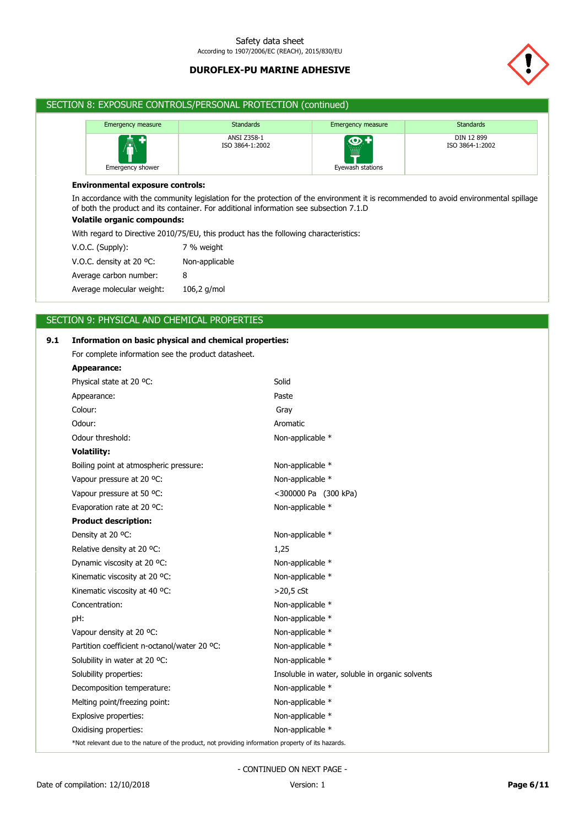

# SECTION 8: EXPOSURE CONTROLS/PERSONAL PROTECTION (continued)

| <b>Emergency measure</b> | <b>Standards</b>               | <b>Emergency measure</b>             | <b>Standards</b>              |
|--------------------------|--------------------------------|--------------------------------------|-------------------------------|
| 奏中<br>Emergency shower   | ANSI Z358-1<br>ISO 3864-1:2002 | <u>တ္ -</u><br>Ë<br>Eyewash stations | DIN 12 899<br>ISO 3864-1:2002 |

### **Environmental exposure controls:**

In accordance with the community legislation for the protection of the environment it is recommended to avoid environmental spillage of both the product and its container. For additional information see subsection 7.1.D

# **Volatile organic compounds:**

With regard to Directive 2010/75/EU, this product has the following characteristics:

| $V.O.C.$ (Supply):        | 7 % weight     |
|---------------------------|----------------|
| V.O.C. density at 20 °C:  | Non-applicable |
| Average carbon number:    | 8              |
| Average molecular weight: | 106,2 g/mol    |

# SECTION 9: PHYSICAL AND CHEMICAL PROPERTIES

| 9.1 | Information on basic physical and chemical properties:                                             |                                                 |
|-----|----------------------------------------------------------------------------------------------------|-------------------------------------------------|
|     | For complete information see the product datasheet.                                                |                                                 |
|     | <b>Appearance:</b>                                                                                 |                                                 |
|     | Physical state at 20 °C:                                                                           | Solid                                           |
|     | Appearance:                                                                                        | Paste                                           |
|     | Colour:                                                                                            | Gray                                            |
|     | Odour:                                                                                             | Aromatic                                        |
|     | Odour threshold:                                                                                   | Non-applicable *                                |
|     | <b>Volatility:</b>                                                                                 |                                                 |
|     | Boiling point at atmospheric pressure:                                                             | Non-applicable *                                |
|     | Vapour pressure at 20 °C:                                                                          | Non-applicable *                                |
|     | Vapour pressure at 50 °C:                                                                          | <300000 Pa (300 kPa)                            |
|     | Evaporation rate at 20 °C:                                                                         | Non-applicable *                                |
|     | <b>Product description:</b>                                                                        |                                                 |
|     | Density at 20 °C:                                                                                  | Non-applicable *                                |
|     | Relative density at 20 °C:                                                                         | 1,25                                            |
|     | Dynamic viscosity at 20 °C:                                                                        | Non-applicable *                                |
|     | Kinematic viscosity at 20 °C:                                                                      | Non-applicable *                                |
|     | Kinematic viscosity at 40 °C:                                                                      | $>20.5$ cSt                                     |
|     | Concentration:                                                                                     | Non-applicable *                                |
|     | pH:                                                                                                | Non-applicable *                                |
|     | Vapour density at 20 °C:                                                                           | Non-applicable *                                |
|     | Partition coefficient n-octanol/water 20 °C:                                                       | Non-applicable *                                |
|     | Solubility in water at 20 °C:                                                                      | Non-applicable *                                |
|     | Solubility properties:                                                                             | Insoluble in water, soluble in organic solvents |
|     | Decomposition temperature:                                                                         | Non-applicable *                                |
|     | Melting point/freezing point:                                                                      | Non-applicable *                                |
|     | Explosive properties:                                                                              | Non-applicable *                                |
|     | Oxidising properties:                                                                              | Non-applicable *                                |
|     | *Not relevant due to the nature of the product, not providing information property of its hazards. |                                                 |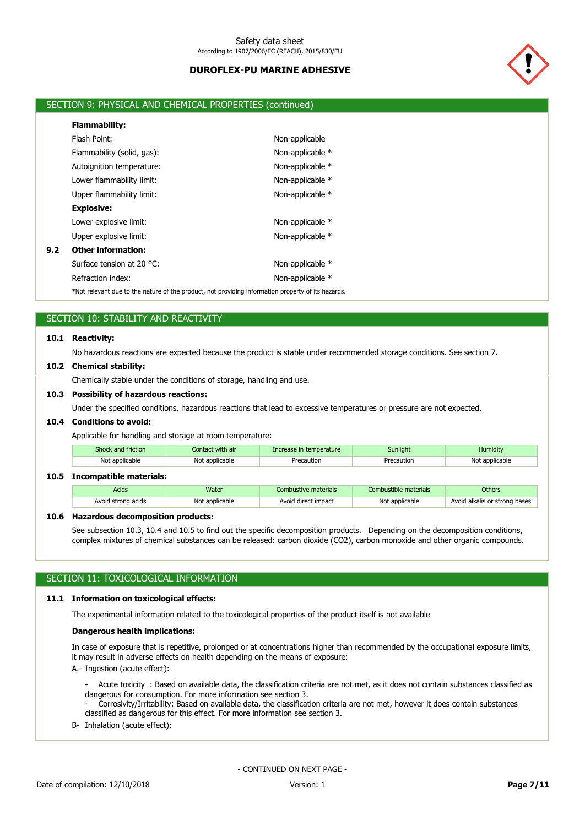

# SECTION 9: PHYSICAL AND CHEMICAL PROPERTIES (continued)

|     | <b>Flammability:</b>                                                                                  |                  |  |
|-----|-------------------------------------------------------------------------------------------------------|------------------|--|
|     | Flash Point:                                                                                          | Non-applicable   |  |
|     | Flammability (solid, gas):                                                                            | Non-applicable * |  |
|     | Autoignition temperature:                                                                             | Non-applicable * |  |
|     | Lower flammability limit:                                                                             | Non-applicable * |  |
|     | Upper flammability limit:                                                                             | Non-applicable * |  |
|     | <b>Explosive:</b>                                                                                     |                  |  |
|     | Lower explosive limit:                                                                                | Non-applicable * |  |
|     | Upper explosive limit:                                                                                | Non-applicable * |  |
| 9.2 | <b>Other information:</b>                                                                             |                  |  |
|     | Surface tension at 20 °C:                                                                             | Non-applicable * |  |
|     | Refraction index:                                                                                     | Non-applicable * |  |
|     | $*$ Not relevant due to the pature of the product, not providing information property of its baserds. |                  |  |

flue to the nature of the product, not providing information property of its hazards.

# SECTION 10: STABILITY AND REACTIVITY

## **10.1 Reactivity:**

No hazardous reactions are expected because the product is stable under recommended storage conditions. See section 7.

#### **10.2 Chemical stability:**

Chemically stable under the conditions of storage, handling and use.

### **10.3 Possibility of hazardous reactions:**

Under the specified conditions, hazardous reactions that lead to excessive temperatures or pressure are not expected.

#### **10.4 Conditions to avoid:**

Applicable for handling and storage at room temperature:

| Shock and friction | Contact with air | rease in temperature. | Sunliaht | Humiditv |
|--------------------|------------------|-----------------------|----------|----------|
| Not applicable     | Not applicable   | ution                 |          | licable  |

## **10.5 Incompatible materials:**

| Acids              | Water          | Combustive materials | Combustible materials | Others                        |
|--------------------|----------------|----------------------|-----------------------|-------------------------------|
| Avoid strong acids | Not applicable | Avoid direct impact  | Not applicable        | Avoid alkalis or strong bases |

### **10.6 Hazardous decomposition products:**

See subsection 10.3, 10.4 and 10.5 to find out the specific decomposition products. Depending on the decomposition conditions, complex mixtures of chemical substances can be released: carbon dioxide (CO2), carbon monoxide and other organic compounds.

## SECTION 11: TOXICOLOGICAL INFORMATION

# **11.1 Information on toxicological effects:**

The experimental information related to the toxicological properties of the product itself is not available

### **Dangerous health implications:**

In case of exposure that is repetitive, prolonged or at concentrations higher than recommended by the occupational exposure limits, it may result in adverse effects on health depending on the means of exposure:

A.- Ingestion (acute effect):

- Acute toxicity : Based on available data, the classification criteria are not met, as it does not contain substances classified as dangerous for consumption. For more information see section 3.

- Corrosivity/Irritability: Based on available data, the classification criteria are not met, however it does contain substances classified as dangerous for this effect. For more information see section 3.

B- Inhalation (acute effect):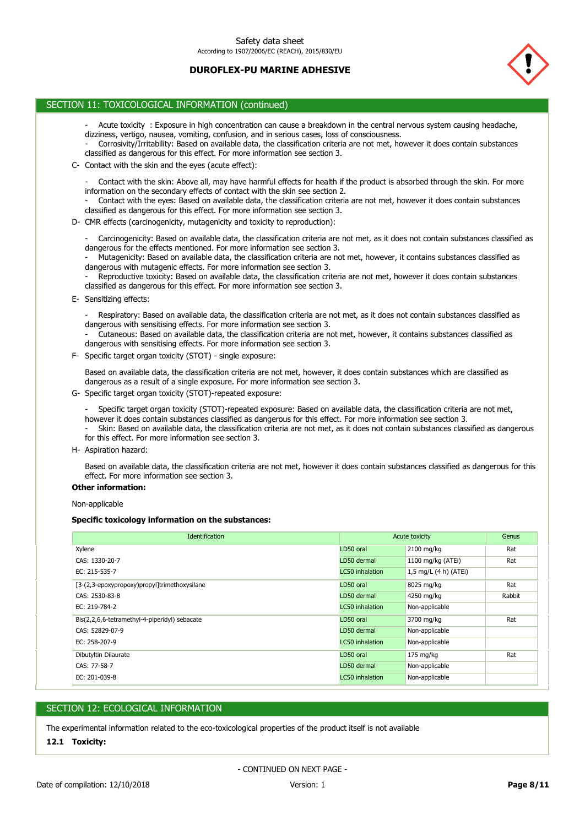

# SECTION 11: TOXICOLOGICAL INFORMATION (continued)

- Acute toxicity : Exposure in high concentration can cause a breakdown in the central nervous system causing headache, dizziness, vertigo, nausea, vomiting, confusion, and in serious cases, loss of consciousness.
- Corrosivity/Irritability: Based on available data, the classification criteria are not met, however it does contain substances classified as dangerous for this effect. For more information see section 3.
- C- Contact with the skin and the eyes (acute effect):
	- Contact with the skin: Above all, may have harmful effects for health if the product is absorbed through the skin. For more information on the secondary effects of contact with the skin see section 2.
	- Contact with the eyes: Based on available data, the classification criteria are not met, however it does contain substances classified as dangerous for this effect. For more information see section 3.
- D- CMR effects (carcinogenicity, mutagenicity and toxicity to reproduction):
	- Carcinogenicity: Based on available data, the classification criteria are not met, as it does not contain substances classified as dangerous for the effects mentioned. For more information see section 3.
	- Mutagenicity: Based on available data, the classification criteria are not met, however, it contains substances classified as dangerous with mutagenic effects. For more information see section 3.
	- Reproductive toxicity: Based on available data, the classification criteria are not met, however it does contain substances classified as dangerous for this effect. For more information see section 3.
- E- Sensitizing effects:

- Respiratory: Based on available data, the classification criteria are not met, as it does not contain substances classified as dangerous with sensitising effects. For more information see section 3.

- Cutaneous: Based on available data, the classification criteria are not met, however, it contains substances classified as dangerous with sensitising effects. For more information see section 3.
- F- Specific target organ toxicity (STOT) single exposure:

Based on available data, the classification criteria are not met, however, it does contain substances which are classified as dangerous as a result of a single exposure. For more information see section 3.

G- Specific target organ toxicity (STOT)-repeated exposure:

- Specific target organ toxicity (STOT)-repeated exposure: Based on available data, the classification criteria are not met, however it does contain substances classified as dangerous for this effect. For more information see section 3. - Skin: Based on available data, the classification criteria are not met, as it does not contain substances classified as dangerous for this effect. For more information see section 3.

H- Aspiration hazard:

Based on available data, the classification criteria are not met, however it does contain substances classified as dangerous for this effect. For more information see section 3.

## **Other information:**

Non-applicable

### **Specific toxicology information on the substances:**

| <b>Identification</b>                         |                        | Acute toxicity          | Genus  |
|-----------------------------------------------|------------------------|-------------------------|--------|
| Xylene                                        | LD50 oral              | 2100 mg/kg              | Rat    |
| CAS: 1330-20-7                                | LD50 dermal            | 1100 mg/kg (ATEi)       | Rat    |
| EC: 215-535-7                                 | LC50 inhalation        | 1,5 mg/L $(4 h)$ (ATEi) |        |
| [3-(2,3-epoxypropoxy)propyl]trimethoxysilane  | LD50 oral              | 8025 mg/kg              | Rat    |
| CAS: 2530-83-8                                | LD50 dermal            | 4250 mg/kg              | Rabbit |
| EC: 219-784-2                                 | LC50 inhalation        | Non-applicable          |        |
| Bis(2,2,6,6-tetramethyl-4-piperidyl) sebacate | LD50 oral              | 3700 mg/kg              | Rat    |
| CAS: 52829-07-9                               | LD50 dermal            | Non-applicable          |        |
| EC: 258-207-9                                 | <b>LC50</b> inhalation | Non-applicable          |        |
| Dibutyltin Dilaurate                          | LD50 oral              | $175$ mg/kg             | Rat    |
| CAS: 77-58-7                                  | LD50 dermal            | Non-applicable          |        |
| EC: 201-039-8                                 | LC50 inhalation        | Non-applicable          |        |

## SECTION 12: ECOLOGICAL INFORMATION

The experimental information related to the eco-toxicological properties of the product itself is not available

#### **12.1 Toxicity:**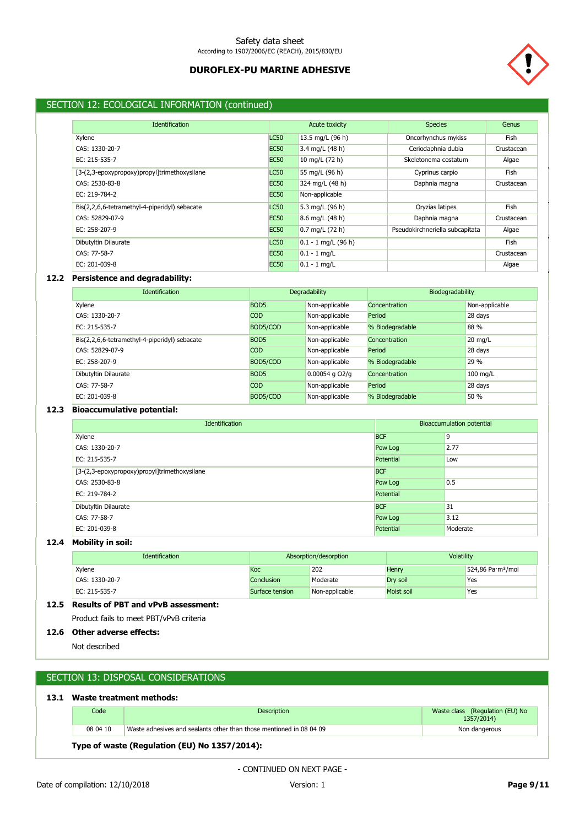

# SECTION 12: ECOLOGICAL INFORMATION (continued)

| <b>Identification</b>                         |             | Acute toxicity            | <b>Species</b>                  | Genus      |
|-----------------------------------------------|-------------|---------------------------|---------------------------------|------------|
| Xylene                                        | <b>LC50</b> | 13.5 mg/L (96 h)          | Oncorhynchus mykiss             | Fish       |
| CAS: 1330-20-7                                | <b>EC50</b> | 3.4 mg/L (48 h)           | Ceriodaphnia dubia              | Crustacean |
| EC: 215-535-7                                 | <b>EC50</b> | 10 mg/L (72 h)            | Skeletonema costatum            | Algae      |
| [3-(2,3-epoxypropoxy)propyl]trimethoxysilane  | <b>LC50</b> | 55 mg/L (96 h)            | Cyprinus carpio                 | Fish       |
| CAS: 2530-83-8                                | <b>EC50</b> | 324 mg/L (48 h)           | Daphnia magna                   | Crustacean |
| EC: 219-784-2                                 | <b>EC50</b> | Non-applicable            |                                 |            |
| Bis(2,2,6,6-tetramethyl-4-piperidyl) sebacate | <b>LC50</b> | 5.3 mg/L (96 h)           | Oryzias latipes                 | Fish       |
| CAS: 52829-07-9                               | <b>EC50</b> | 8.6 mg/L (48 h)           | Daphnia magna                   | Crustacean |
| EC: 258-207-9                                 | <b>EC50</b> | $0.7 \text{ mg/L}$ (72 h) | Pseudokirchneriella subcapitata | Algae      |
| Dibutyltin Dilaurate                          | <b>LC50</b> | $0.1 - 1$ mg/L (96 h)     |                                 | Fish       |
| CAS: 77-58-7                                  | <b>EC50</b> | $0.1 - 1$ mg/L            |                                 | Crustacean |
| EC: 201-039-8                                 | <b>EC50</b> | $0.1 - 1$ mg/L            |                                 | Algae      |

## **12.2 Persistence and degradability:**

| <b>Identification</b>                         | Degradability    |                    | Biodegradability |                   |
|-----------------------------------------------|------------------|--------------------|------------------|-------------------|
| Xylene                                        | BOD <sub>5</sub> | Non-applicable     | Concentration    | Non-applicable    |
| CAS: 1330-20-7                                | <b>COD</b>       | Non-applicable     | Period           | 28 days           |
| EC: 215-535-7                                 | BOD5/COD         | Non-applicable     | % Biodegradable  | 88 %              |
| Bis(2,2,6,6-tetramethyl-4-piperidyl) sebacate | BOD <sub>5</sub> | Non-applicable     | Concentration    | $20 \text{ mg/L}$ |
| CAS: 52829-07-9                               | <b>COD</b>       | Non-applicable     | Period           | 28 days           |
| EC: 258-207-9                                 | BOD5/COD         | Non-applicable     | % Biodegradable  | 29 %              |
| Dibutyltin Dilaurate                          | BOD <sub>5</sub> | $0.00054$ g $OZ/q$ | Concentration    | 100 mg/L          |
| CAS: 77-58-7                                  | <b>COD</b>       | Non-applicable     | Period           | 28 days           |
| EC: 201-039-8                                 | BOD5/COD         | Non-applicable     | % Biodegradable  | 50 %              |

# **12.3 Bioaccumulative potential:**

| Bioaccumulation potential<br><b>Identification</b> |            |          |
|----------------------------------------------------|------------|----------|
| Xylene                                             | <b>BCF</b> | 9        |
| CAS: 1330-20-7                                     | Pow Log    | 2.77     |
| EC: 215-535-7                                      | Potential  | Low      |
| [3-(2,3-epoxypropoxy)propyl]trimethoxysilane       | <b>BCF</b> |          |
| CAS: 2530-83-8                                     | Pow Log    | 0.5      |
| EC: 219-784-2                                      | Potential  |          |
| Dibutyltin Dilaurate                               | <b>BCF</b> | 31       |
| CAS: 77-58-7                                       | Pow Log    | 3.12     |
| EC: 201-039-8                                      | Potential  | Moderate |

# **12.4 Mobility in soil:**

| <b>Identification</b> | Absorption/desorption |                | Volatility |                               |
|-----------------------|-----------------------|----------------|------------|-------------------------------|
| Xylene                | Koc                   | 202            | Henry      | 524,86 Pa·m <sup>3</sup> /mol |
| CAS: 1330-20-7        | Conclusion            | Moderate       | Dry soil   | Yes                           |
| EC: 215-535-7         | Surface tension       | Non-applicable | Moist soil | Yes                           |

# **12.5 Results of PBT and vPvB assessment:**

Product fails to meet PBT/vPvB criteria

# **12.6 Other adverse effects:**

Not described

# SECTION 13: DISPOSAL CONSIDERATIONS

# **13.1 Waste treatment methods:**

| Code     | <b>Description</b>                                                  | Waste class (Regulation (EU) No<br>1357/2014) |
|----------|---------------------------------------------------------------------|-----------------------------------------------|
| 08 04 10 | Waste adhesives and sealants other than those mentioned in 08 04 09 | Non dangerous                                 |

# **Type of waste (Regulation (EU) No 1357/2014):**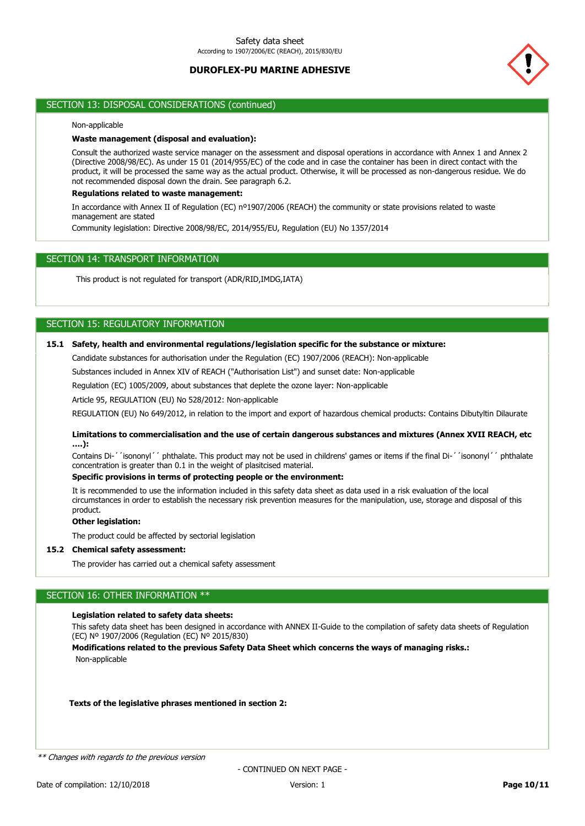

# SECTION 13: DISPOSAL CONSIDERATIONS (continued)

### Non-applicable

## **Waste management (disposal and evaluation):**

Consult the authorized waste service manager on the assessment and disposal operations in accordance with Annex 1 and Annex 2 (Directive 2008/98/EC). As under 15 01 (2014/955/EC) of the code and in case the container has been in direct contact with the product, it will be processed the same way as the actual product. Otherwise, it will be processed as non-dangerous residue. We do not recommended disposal down the drain. See paragraph 6.2.

### **Regulations related to waste management:**

In accordance with Annex II of Regulation (EC) nº1907/2006 (REACH) the community or state provisions related to waste management are stated

Community legislation: Directive 2008/98/EC, 2014/955/EU, Regulation (EU) No 1357/2014

# SECTION 14: TRANSPORT INFORMATION

This product is not regulated for transport (ADR/RID,IMDG,IATA)

# SECTION 15: REGULATORY INFORMATION

# **15.1 Safety, health and environmental regulations/legislation specific for the substance or mixture:**

Candidate substances for authorisation under the Regulation (EC) 1907/2006 (REACH): Non-applicable

Substances included in Annex XIV of REACH ("Authorisation List") and sunset date: Non-applicable

Regulation (EC) 1005/2009, about substances that deplete the ozone layer: Non-applicable

Article 95, REGULATION (EU) No 528/2012: Non-applicable

REGULATION (EU) No 649/2012, in relation to the import and export of hazardous chemical products: Contains Dibutyltin Dilaurate

### **Limitations to commercialisation and the use of certain dangerous substances and mixtures (Annex XVII REACH, etc ….):**

Contains Di-´´isononyl´´ phthalate. This product may not be used in childrens' games or items if the final Di-´´isononyl´´ phthalate concentration is greater than 0.1 in the weight of plasitcised material.

# **Specific provisions in terms of protecting people or the environment:**

It is recommended to use the information included in this safety data sheet as data used in a risk evaluation of the local circumstances in order to establish the necessary risk prevention measures for the manipulation, use, storage and disposal of this product.

### **Other legislation:**

The product could be affected by sectorial legislation

### **15.2 Chemical safety assessment:**

The provider has carried out a chemical safety assessment

# SECTION 16: OTHER INFORMATION \*\*

#### **Legislation related to safety data sheets:**

This safety data sheet has been designed in accordance with ANNEX II-Guide to the compilation of safety data sheets of Regulation (EC) Nº 1907/2006 (Regulation (EC) Nº 2015/830)

Non-applicable **Modifications related to the previous Safety Data Sheet which concerns the ways of managing risks.:**

#### **Texts of the legislative phrases mentioned in section 2:**

\*\* Changes with regards to the previous version